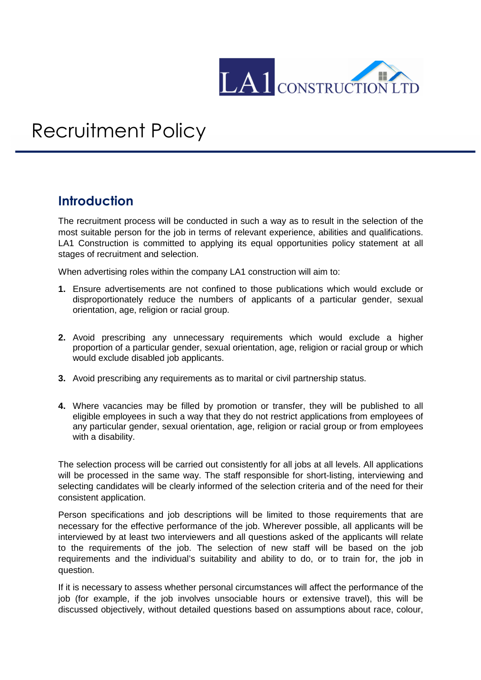

## Recruitment Policy

## **Introduction**

The recruitment process will be conducted in such a way as to result in the selection of the most suitable person for the job in terms of relevant experience, abilities and qualifications. LA1 Construction is committed to applying its equal opportunities policy statement at all stages of recruitment and selection.

When advertising roles within the company LA1 construction will aim to:

- **1.** Ensure advertisements are not confined to those publications which would exclude or disproportionately reduce the numbers of applicants of a particular gender, sexual orientation, age, religion or racial group.
- **2.** Avoid prescribing any unnecessary requirements which would exclude a higher proportion of a particular gender, sexual orientation, age, religion or racial group or which would exclude disabled job applicants.
- **3.** Avoid prescribing any requirements as to marital or civil partnership status.
- **4.** Where vacancies may be filled by promotion or transfer, they will be published to all eligible employees in such a way that they do not restrict applications from employees of any particular gender, sexual orientation, age, religion or racial group or from employees with a disability.

The selection process will be carried out consistently for all jobs at all levels. All applications will be processed in the same way. The staff responsible for short-listing, interviewing and selecting candidates will be clearly informed of the selection criteria and of the need for their consistent application.

Person specifications and job descriptions will be limited to those requirements that are necessary for the effective performance of the job. Wherever possible, all applicants will be interviewed by at least two interviewers and all questions asked of the applicants will relate to the requirements of the job. The selection of new staff will be based on the job requirements and the individual's suitability and ability to do, or to train for, the job in question.

If it is necessary to assess whether personal circumstances will affect the performance of the job (for example, if the job involves unsociable hours or extensive travel), this will be discussed objectively, without detailed questions based on assumptions about race, colour,